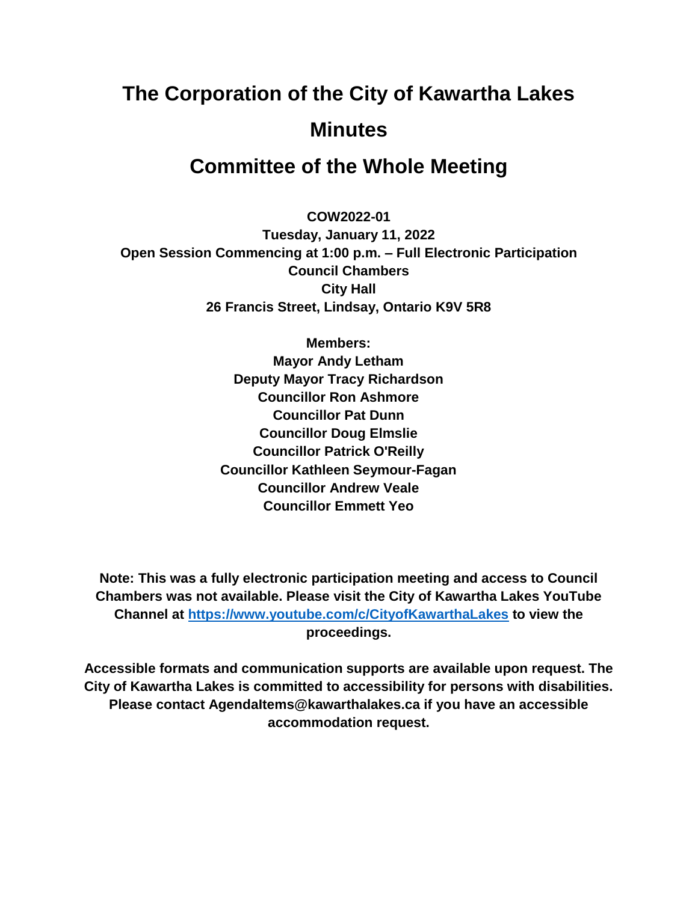# **The Corporation of the City of Kawartha Lakes Minutes**

# **Committee of the Whole Meeting**

**COW2022-01**

**Tuesday, January 11, 2022 Open Session Commencing at 1:00 p.m. – Full Electronic Participation Council Chambers City Hall 26 Francis Street, Lindsay, Ontario K9V 5R8**

> **Members: Mayor Andy Letham Deputy Mayor Tracy Richardson Councillor Ron Ashmore Councillor Pat Dunn Councillor Doug Elmslie Councillor Patrick O'Reilly Councillor Kathleen Seymour-Fagan Councillor Andrew Veale Councillor Emmett Yeo**

**Note: This was a fully electronic participation meeting and access to Council Chambers was not available. Please visit the City of Kawartha Lakes YouTube Channel at<https://www.youtube.com/c/CityofKawarthaLakes> to view the proceedings.**

**Accessible formats and communication supports are available upon request. The City of Kawartha Lakes is committed to accessibility for persons with disabilities. Please contact AgendaItems@kawarthalakes.ca if you have an accessible accommodation request.**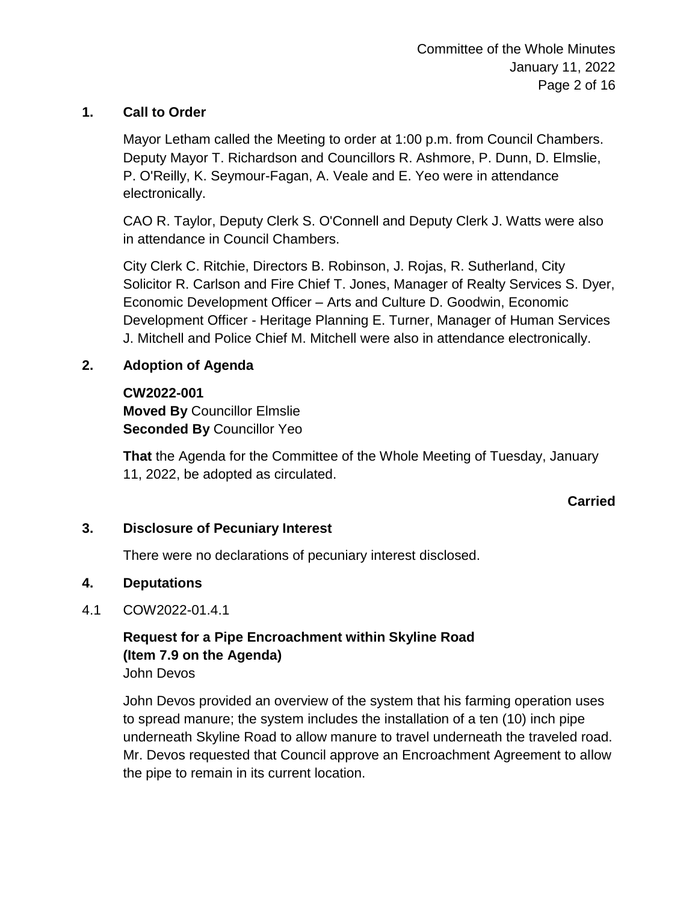# **1. Call to Order**

Mayor Letham called the Meeting to order at 1:00 p.m. from Council Chambers. Deputy Mayor T. Richardson and Councillors R. Ashmore, P. Dunn, D. Elmslie, P. O'Reilly, K. Seymour-Fagan, A. Veale and E. Yeo were in attendance electronically.

CAO R. Taylor, Deputy Clerk S. O'Connell and Deputy Clerk J. Watts were also in attendance in Council Chambers.

City Clerk C. Ritchie, Directors B. Robinson, J. Rojas, R. Sutherland, City Solicitor R. Carlson and Fire Chief T. Jones, Manager of Realty Services S. Dyer, Economic Development Officer – Arts and Culture D. Goodwin, Economic Development Officer - Heritage Planning E. Turner, Manager of Human Services J. Mitchell and Police Chief M. Mitchell were also in attendance electronically.

# **2. Adoption of Agenda**

# **CW2022-001**

**Moved By** Councillor Elmslie **Seconded By** Councillor Yeo

**That** the Agenda for the Committee of the Whole Meeting of Tuesday, January 11, 2022, be adopted as circulated.

# **Carried**

#### **3. Disclosure of Pecuniary Interest**

There were no declarations of pecuniary interest disclosed.

#### **4. Deputations**

# 4.1 COW2022-01.4.1

# **Request for a Pipe Encroachment within Skyline Road (Item 7.9 on the Agenda)** John Devos

John Devos provided an overview of the system that his farming operation uses to spread manure; the system includes the installation of a ten (10) inch pipe underneath Skyline Road to allow manure to travel underneath the traveled road. Mr. Devos requested that Council approve an Encroachment Agreement to allow the pipe to remain in its current location.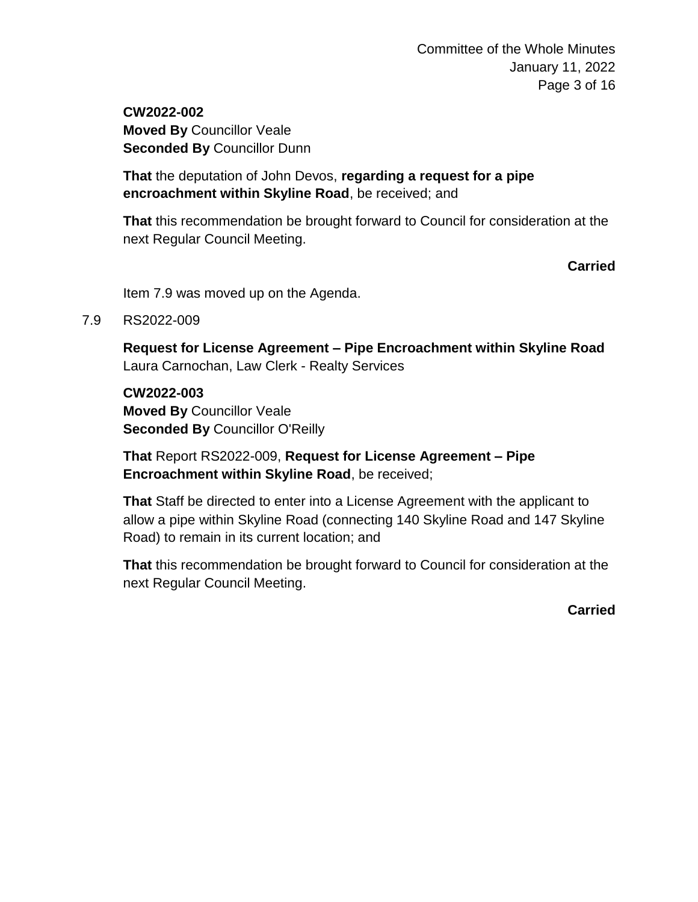**CW2022-002 Moved By** Councillor Veale **Seconded By** Councillor Dunn

**That** the deputation of John Devos, **regarding a request for a pipe encroachment within Skyline Road**, be received; and

**That** this recommendation be brought forward to Council for consideration at the next Regular Council Meeting.

**Carried**

Item 7.9 was moved up on the Agenda.

7.9 RS2022-009

**Request for License Agreement – Pipe Encroachment within Skyline Road** Laura Carnochan, Law Clerk - Realty Services

**CW2022-003 Moved By** Councillor Veale **Seconded By** Councillor O'Reilly

**That** Report RS2022-009, **Request for License Agreement – Pipe Encroachment within Skyline Road**, be received;

**That** Staff be directed to enter into a License Agreement with the applicant to allow a pipe within Skyline Road (connecting 140 Skyline Road and 147 Skyline Road) to remain in its current location; and

**That** this recommendation be brought forward to Council for consideration at the next Regular Council Meeting.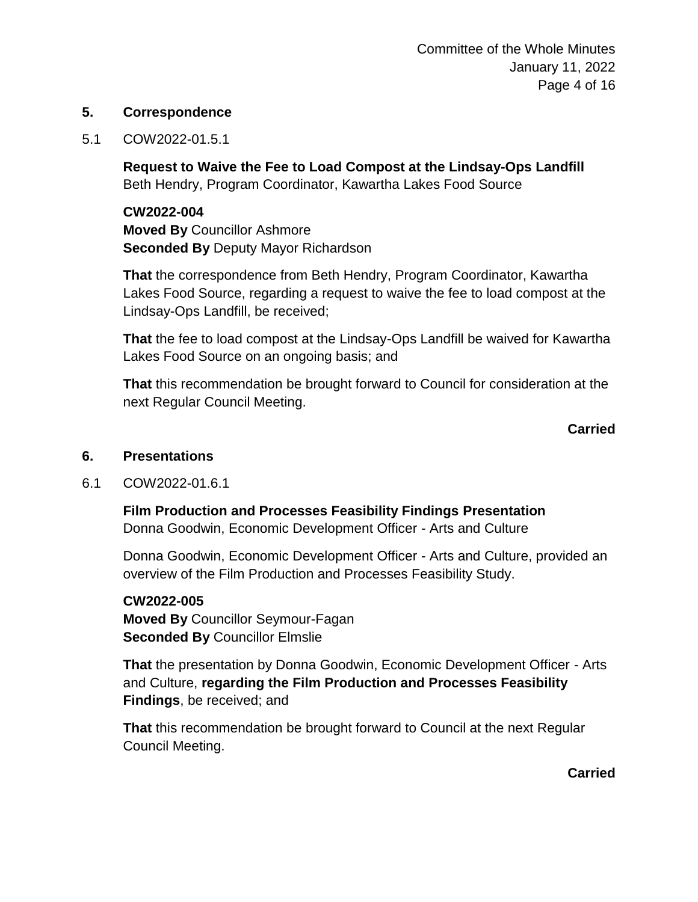#### **5. Correspondence**

5.1 COW2022-01.5.1

**Request to Waive the Fee to Load Compost at the Lindsay-Ops Landfill** Beth Hendry, Program Coordinator, Kawartha Lakes Food Source

**CW2022-004 Moved By** Councillor Ashmore **Seconded By** Deputy Mayor Richardson

**That** the correspondence from Beth Hendry, Program Coordinator, Kawartha Lakes Food Source, regarding a request to waive the fee to load compost at the Lindsay-Ops Landfill, be received;

**That** the fee to load compost at the Lindsay-Ops Landfill be waived for Kawartha Lakes Food Source on an ongoing basis; and

**That** this recommendation be brought forward to Council for consideration at the next Regular Council Meeting.

#### **Carried**

#### **6. Presentations**

6.1 COW2022-01.6.1

**Film Production and Processes Feasibility Findings Presentation**

Donna Goodwin, Economic Development Officer - Arts and Culture

Donna Goodwin, Economic Development Officer - Arts and Culture, provided an overview of the Film Production and Processes Feasibility Study.

#### **CW2022-005**

**Moved By** Councillor Seymour-Fagan **Seconded By** Councillor Elmslie

**That** the presentation by Donna Goodwin, Economic Development Officer - Arts and Culture, **regarding the Film Production and Processes Feasibility Findings**, be received; and

**That** this recommendation be brought forward to Council at the next Regular Council Meeting.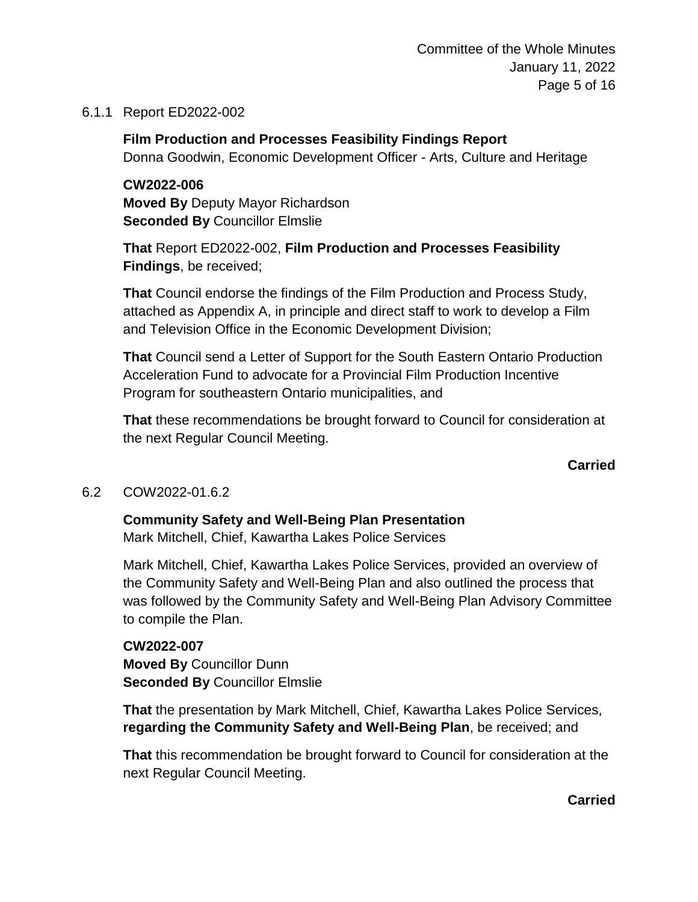### 6.1.1 Report ED2022-002

**Film Production and Processes Feasibility Findings Report** Donna Goodwin, Economic Development Officer - Arts, Culture and Heritage

#### **CW2022-006**

**Moved By** Deputy Mayor Richardson **Seconded By** Councillor Elmslie

**That** Report ED2022-002, **Film Production and Processes Feasibility Findings**, be received;

**That** Council endorse the findings of the Film Production and Process Study, attached as Appendix A, in principle and direct staff to work to develop a Film and Television Office in the Economic Development Division;

**That** Council send a Letter of Support for the South Eastern Ontario Production Acceleration Fund to advocate for a Provincial Film Production Incentive Program for southeastern Ontario municipalities, and

**That** these recommendations be brought forward to Council for consideration at the next Regular Council Meeting.

#### **Carried**

#### 6.2 COW2022-01.6.2

#### **Community Safety and Well-Being Plan Presentation**

Mark Mitchell, Chief, Kawartha Lakes Police Services

Mark Mitchell, Chief, Kawartha Lakes Police Services, provided an overview of the Community Safety and Well-Being Plan and also outlined the process that was followed by the Community Safety and Well-Being Plan Advisory Committee to compile the Plan.

**CW2022-007 Moved By** Councillor Dunn **Seconded By** Councillor Elmslie

**That** the presentation by Mark Mitchell, Chief, Kawartha Lakes Police Services, **regarding the Community Safety and Well-Being Plan**, be received; and

**That** this recommendation be brought forward to Council for consideration at the next Regular Council Meeting.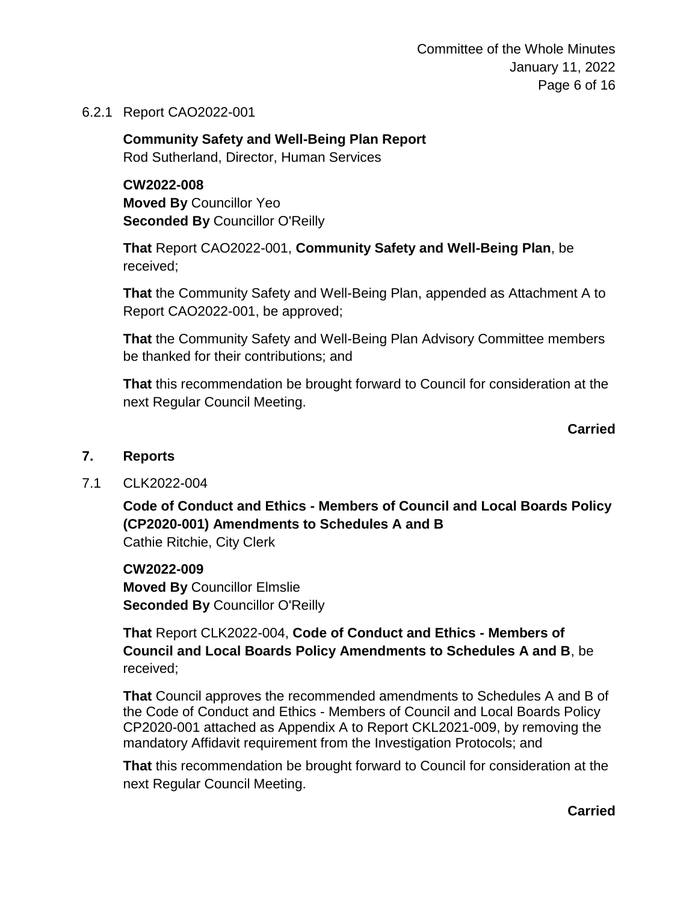Committee of the Whole Minutes January 11, 2022 Page 6 of 16

6.2.1 Report CAO2022-001

**Community Safety and Well-Being Plan Report** Rod Sutherland, Director, Human Services

# **CW2022-008**

**Moved By** Councillor Yeo **Seconded By** Councillor O'Reilly

**That** Report CAO2022-001, **Community Safety and Well-Being Plan**, be received;

**That** the Community Safety and Well-Being Plan, appended as Attachment A to Report CAO2022-001, be approved;

**That** the Community Safety and Well-Being Plan Advisory Committee members be thanked for their contributions; and

**That** this recommendation be brought forward to Council for consideration at the next Regular Council Meeting.

**Carried**

#### **7. Reports**

7.1 CLK2022-004

**Code of Conduct and Ethics - Members of Council and Local Boards Policy (CP2020-001) Amendments to Schedules A and B** Cathie Ritchie, City Clerk

**CW2022-009 Moved By** Councillor Elmslie **Seconded By** Councillor O'Reilly

**That** Report CLK2022-004, **Code of Conduct and Ethics - Members of Council and Local Boards Policy Amendments to Schedules A and B**, be received;

**That** Council approves the recommended amendments to Schedules A and B of the Code of Conduct and Ethics - Members of Council and Local Boards Policy CP2020-001 attached as Appendix A to Report CKL2021-009, by removing the mandatory Affidavit requirement from the Investigation Protocols; and

**That** this recommendation be brought forward to Council for consideration at the next Regular Council Meeting.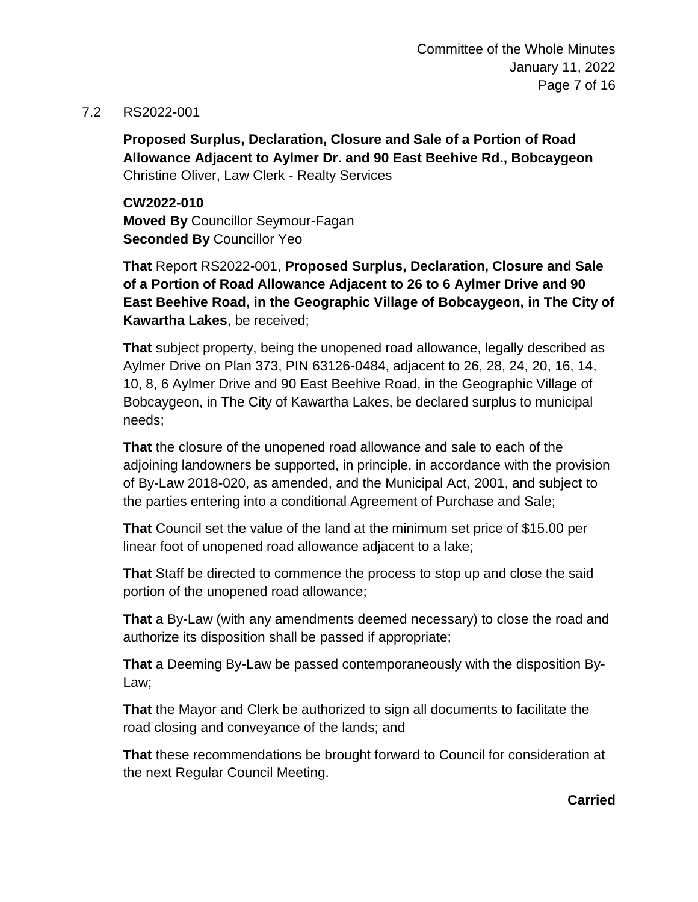#### 7.2 RS2022-001

**Proposed Surplus, Declaration, Closure and Sale of a Portion of Road Allowance Adjacent to Aylmer Dr. and 90 East Beehive Rd., Bobcaygeon** Christine Oliver, Law Clerk - Realty Services

**CW2022-010 Moved By** Councillor Seymour-Fagan **Seconded By** Councillor Yeo

**That** Report RS2022-001, **Proposed Surplus, Declaration, Closure and Sale of a Portion of Road Allowance Adjacent to 26 to 6 Aylmer Drive and 90 East Beehive Road, in the Geographic Village of Bobcaygeon, in The City of Kawartha Lakes**, be received;

**That** subject property, being the unopened road allowance, legally described as Aylmer Drive on Plan 373, PIN 63126-0484, adjacent to 26, 28, 24, 20, 16, 14, 10, 8, 6 Aylmer Drive and 90 East Beehive Road, in the Geographic Village of Bobcaygeon, in The City of Kawartha Lakes, be declared surplus to municipal needs;

**That** the closure of the unopened road allowance and sale to each of the adjoining landowners be supported, in principle, in accordance with the provision of By-Law 2018-020, as amended, and the Municipal Act, 2001, and subject to the parties entering into a conditional Agreement of Purchase and Sale;

**That** Council set the value of the land at the minimum set price of \$15.00 per linear foot of unopened road allowance adjacent to a lake;

**That** Staff be directed to commence the process to stop up and close the said portion of the unopened road allowance;

**That** a By-Law (with any amendments deemed necessary) to close the road and authorize its disposition shall be passed if appropriate;

**That** a Deeming By-Law be passed contemporaneously with the disposition By-Law;

**That** the Mayor and Clerk be authorized to sign all documents to facilitate the road closing and conveyance of the lands; and

**That** these recommendations be brought forward to Council for consideration at the next Regular Council Meeting.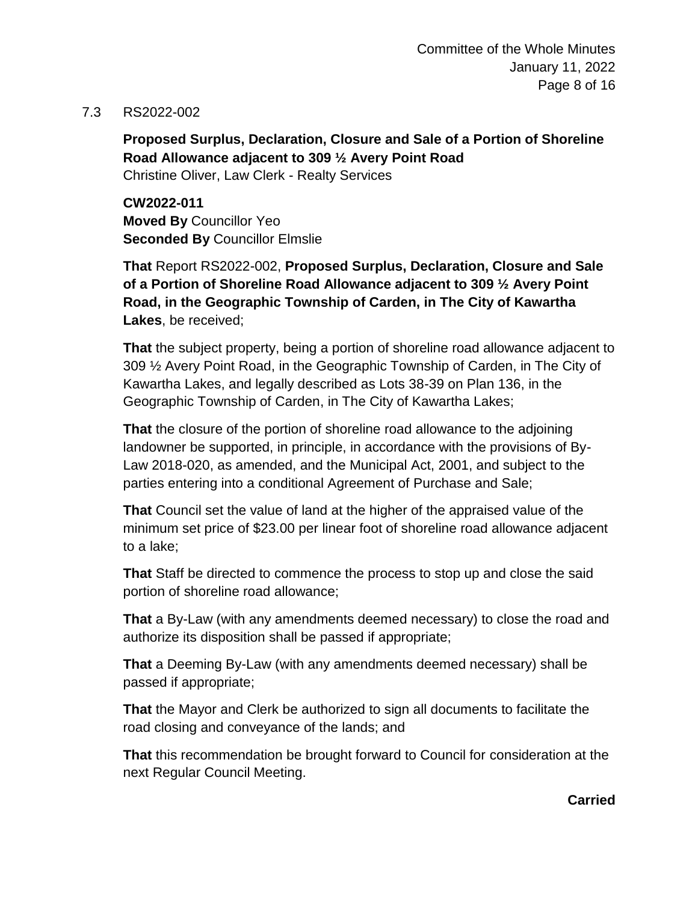#### 7.3 RS2022-002

**Proposed Surplus, Declaration, Closure and Sale of a Portion of Shoreline Road Allowance adjacent to 309 ½ Avery Point Road** Christine Oliver, Law Clerk - Realty Services

**CW2022-011 Moved By** Councillor Yeo **Seconded By** Councillor Elmslie

**That** Report RS2022-002, **Proposed Surplus, Declaration, Closure and Sale of a Portion of Shoreline Road Allowance adjacent to 309 ½ Avery Point Road, in the Geographic Township of Carden, in The City of Kawartha Lakes**, be received;

**That** the subject property, being a portion of shoreline road allowance adjacent to 309 ½ Avery Point Road, in the Geographic Township of Carden, in The City of Kawartha Lakes, and legally described as Lots 38-39 on Plan 136, in the Geographic Township of Carden, in The City of Kawartha Lakes;

**That** the closure of the portion of shoreline road allowance to the adjoining landowner be supported, in principle, in accordance with the provisions of By-Law 2018-020, as amended, and the Municipal Act, 2001, and subject to the parties entering into a conditional Agreement of Purchase and Sale;

**That** Council set the value of land at the higher of the appraised value of the minimum set price of \$23.00 per linear foot of shoreline road allowance adjacent to a lake;

**That** Staff be directed to commence the process to stop up and close the said portion of shoreline road allowance;

**That** a By-Law (with any amendments deemed necessary) to close the road and authorize its disposition shall be passed if appropriate;

**That** a Deeming By-Law (with any amendments deemed necessary) shall be passed if appropriate;

**That** the Mayor and Clerk be authorized to sign all documents to facilitate the road closing and conveyance of the lands; and

**That** this recommendation be brought forward to Council for consideration at the next Regular Council Meeting.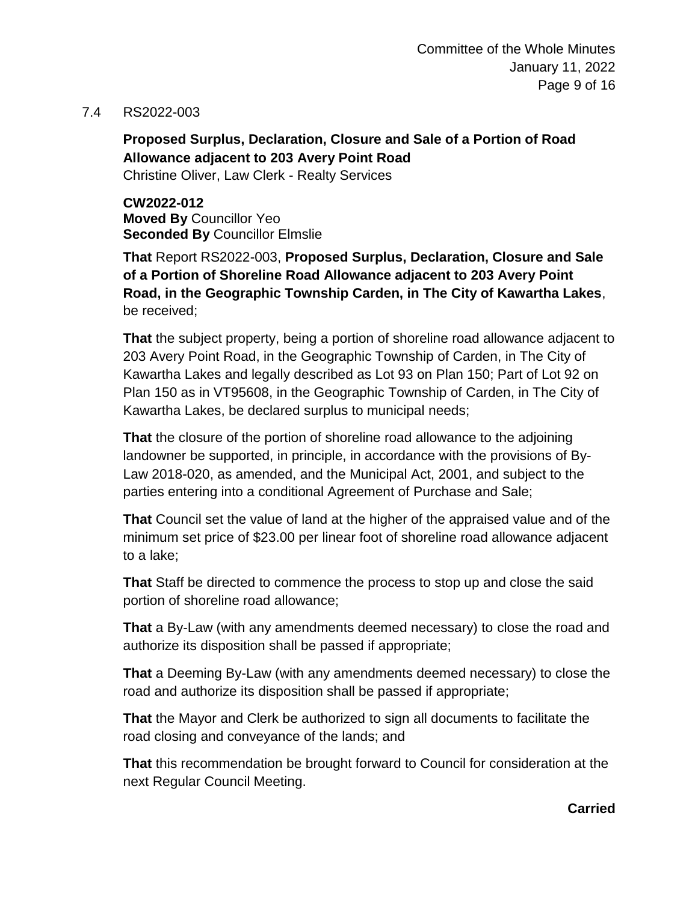#### 7.4 RS2022-003

# **Proposed Surplus, Declaration, Closure and Sale of a Portion of Road Allowance adjacent to 203 Avery Point Road**

Christine Oliver, Law Clerk - Realty Services

**CW2022-012 Moved By** Councillor Yeo **Seconded By** Councillor Elmslie

**That** Report RS2022-003, **Proposed Surplus, Declaration, Closure and Sale of a Portion of Shoreline Road Allowance adjacent to 203 Avery Point Road, in the Geographic Township Carden, in The City of Kawartha Lakes**, be received;

**That** the subject property, being a portion of shoreline road allowance adjacent to 203 Avery Point Road, in the Geographic Township of Carden, in The City of Kawartha Lakes and legally described as Lot 93 on Plan 150; Part of Lot 92 on Plan 150 as in VT95608, in the Geographic Township of Carden, in The City of Kawartha Lakes, be declared surplus to municipal needs;

**That** the closure of the portion of shoreline road allowance to the adjoining landowner be supported, in principle, in accordance with the provisions of By-Law 2018-020, as amended, and the Municipal Act, 2001, and subject to the parties entering into a conditional Agreement of Purchase and Sale;

**That** Council set the value of land at the higher of the appraised value and of the minimum set price of \$23.00 per linear foot of shoreline road allowance adjacent to a lake;

**That** Staff be directed to commence the process to stop up and close the said portion of shoreline road allowance;

**That** a By-Law (with any amendments deemed necessary) to close the road and authorize its disposition shall be passed if appropriate;

**That** a Deeming By-Law (with any amendments deemed necessary) to close the road and authorize its disposition shall be passed if appropriate;

**That** the Mayor and Clerk be authorized to sign all documents to facilitate the road closing and conveyance of the lands; and

**That** this recommendation be brought forward to Council for consideration at the next Regular Council Meeting.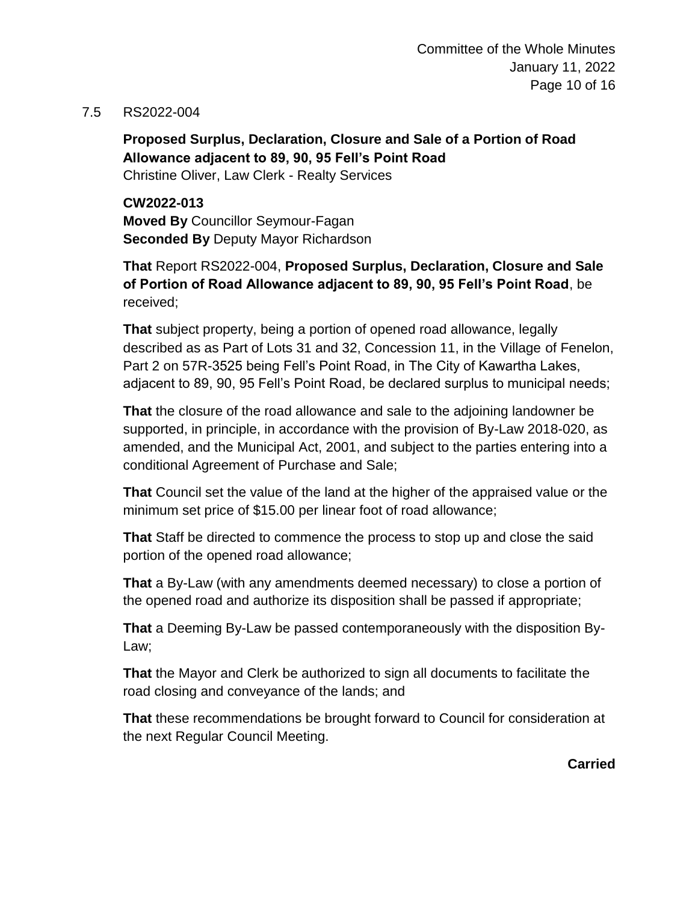#### 7.5 RS2022-004

**Proposed Surplus, Declaration, Closure and Sale of a Portion of Road Allowance adjacent to 89, 90, 95 Fell's Point Road** Christine Oliver, Law Clerk - Realty Services

**CW2022-013 Moved By** Councillor Seymour-Fagan **Seconded By** Deputy Mayor Richardson

**That** Report RS2022-004, **Proposed Surplus, Declaration, Closure and Sale of Portion of Road Allowance adjacent to 89, 90, 95 Fell's Point Road**, be received;

**That** subject property, being a portion of opened road allowance, legally described as as Part of Lots 31 and 32, Concession 11, in the Village of Fenelon, Part 2 on 57R-3525 being Fell's Point Road, in The City of Kawartha Lakes, adjacent to 89, 90, 95 Fell's Point Road, be declared surplus to municipal needs;

**That** the closure of the road allowance and sale to the adjoining landowner be supported, in principle, in accordance with the provision of By-Law 2018-020, as amended, and the Municipal Act, 2001, and subject to the parties entering into a conditional Agreement of Purchase and Sale;

**That** Council set the value of the land at the higher of the appraised value or the minimum set price of \$15.00 per linear foot of road allowance;

**That** Staff be directed to commence the process to stop up and close the said portion of the opened road allowance;

**That** a By-Law (with any amendments deemed necessary) to close a portion of the opened road and authorize its disposition shall be passed if appropriate;

**That** a Deeming By-Law be passed contemporaneously with the disposition By-Law;

**That** the Mayor and Clerk be authorized to sign all documents to facilitate the road closing and conveyance of the lands; and

**That** these recommendations be brought forward to Council for consideration at the next Regular Council Meeting.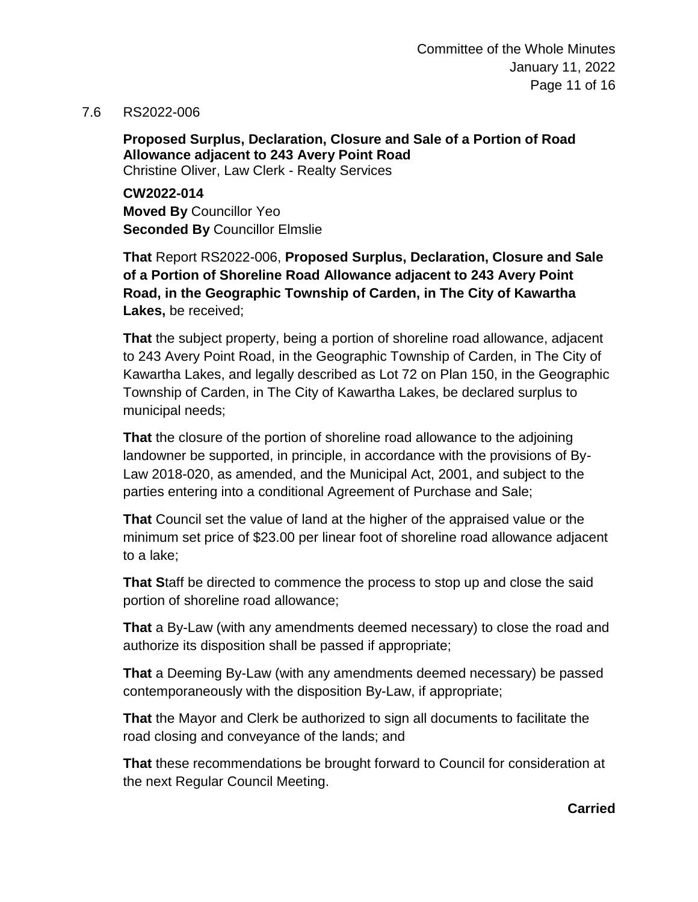7.6 RS2022-006

**Proposed Surplus, Declaration, Closure and Sale of a Portion of Road Allowance adjacent to 243 Avery Point Road** Christine Oliver, Law Clerk - Realty Services

**CW2022-014 Moved By** Councillor Yeo **Seconded By** Councillor Elmslie

**That** Report RS2022-006, **Proposed Surplus, Declaration, Closure and Sale of a Portion of Shoreline Road Allowance adjacent to 243 Avery Point Road, in the Geographic Township of Carden, in The City of Kawartha Lakes,** be received;

**That** the subject property, being a portion of shoreline road allowance, adjacent to 243 Avery Point Road, in the Geographic Township of Carden, in The City of Kawartha Lakes, and legally described as Lot 72 on Plan 150, in the Geographic Township of Carden, in The City of Kawartha Lakes, be declared surplus to municipal needs;

**That** the closure of the portion of shoreline road allowance to the adjoining landowner be supported, in principle, in accordance with the provisions of By-Law 2018-020, as amended, and the Municipal Act, 2001, and subject to the parties entering into a conditional Agreement of Purchase and Sale;

**That** Council set the value of land at the higher of the appraised value or the minimum set price of \$23.00 per linear foot of shoreline road allowance adjacent to a lake;

**That S**taff be directed to commence the process to stop up and close the said portion of shoreline road allowance;

**That** a By-Law (with any amendments deemed necessary) to close the road and authorize its disposition shall be passed if appropriate;

**That** a Deeming By-Law (with any amendments deemed necessary) be passed contemporaneously with the disposition By-Law, if appropriate;

**That** the Mayor and Clerk be authorized to sign all documents to facilitate the road closing and conveyance of the lands; and

**That** these recommendations be brought forward to Council for consideration at the next Regular Council Meeting.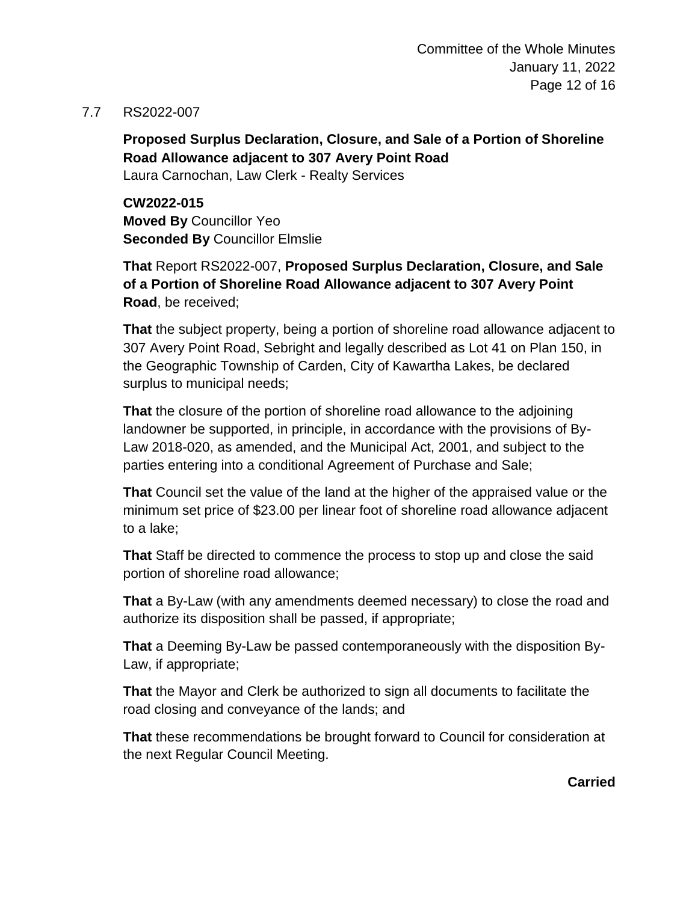#### 7.7 RS2022-007

**Proposed Surplus Declaration, Closure, and Sale of a Portion of Shoreline Road Allowance adjacent to 307 Avery Point Road**

Laura Carnochan, Law Clerk - Realty Services

**CW2022-015 Moved By** Councillor Yeo **Seconded By** Councillor Elmslie

**That** Report RS2022-007, **Proposed Surplus Declaration, Closure, and Sale of a Portion of Shoreline Road Allowance adjacent to 307 Avery Point Road**, be received;

**That** the subject property, being a portion of shoreline road allowance adjacent to 307 Avery Point Road, Sebright and legally described as Lot 41 on Plan 150, in the Geographic Township of Carden, City of Kawartha Lakes, be declared surplus to municipal needs;

**That** the closure of the portion of shoreline road allowance to the adjoining landowner be supported, in principle, in accordance with the provisions of By-Law 2018-020, as amended, and the Municipal Act, 2001, and subject to the parties entering into a conditional Agreement of Purchase and Sale;

**That** Council set the value of the land at the higher of the appraised value or the minimum set price of \$23.00 per linear foot of shoreline road allowance adjacent to a lake;

**That** Staff be directed to commence the process to stop up and close the said portion of shoreline road allowance;

**That** a By-Law (with any amendments deemed necessary) to close the road and authorize its disposition shall be passed, if appropriate;

**That** a Deeming By-Law be passed contemporaneously with the disposition By-Law, if appropriate;

**That** the Mayor and Clerk be authorized to sign all documents to facilitate the road closing and conveyance of the lands; and

**That** these recommendations be brought forward to Council for consideration at the next Regular Council Meeting.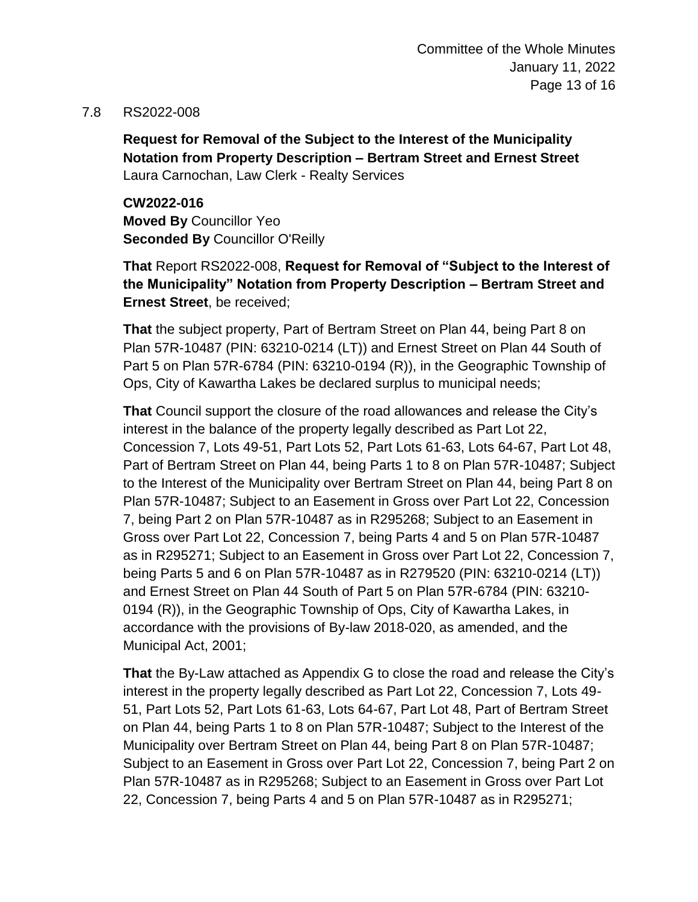#### 7.8 RS2022-008

**Request for Removal of the Subject to the Interest of the Municipality Notation from Property Description – Bertram Street and Ernest Street** Laura Carnochan, Law Clerk - Realty Services

**CW2022-016 Moved By** Councillor Yeo **Seconded By** Councillor O'Reilly

**That** Report RS2022-008, **Request for Removal of "Subject to the Interest of the Municipality" Notation from Property Description – Bertram Street and Ernest Street**, be received;

**That** the subject property, Part of Bertram Street on Plan 44, being Part 8 on Plan 57R-10487 (PIN: 63210-0214 (LT)) and Ernest Street on Plan 44 South of Part 5 on Plan 57R-6784 (PIN: 63210-0194 (R)), in the Geographic Township of Ops, City of Kawartha Lakes be declared surplus to municipal needs;

**That** Council support the closure of the road allowances and release the City's interest in the balance of the property legally described as Part Lot 22, Concession 7, Lots 49-51, Part Lots 52, Part Lots 61-63, Lots 64-67, Part Lot 48, Part of Bertram Street on Plan 44, being Parts 1 to 8 on Plan 57R-10487; Subject to the Interest of the Municipality over Bertram Street on Plan 44, being Part 8 on Plan 57R-10487; Subject to an Easement in Gross over Part Lot 22, Concession 7, being Part 2 on Plan 57R-10487 as in R295268; Subject to an Easement in Gross over Part Lot 22, Concession 7, being Parts 4 and 5 on Plan 57R-10487 as in R295271; Subject to an Easement in Gross over Part Lot 22, Concession 7, being Parts 5 and 6 on Plan 57R-10487 as in R279520 (PIN: 63210-0214 (LT)) and Ernest Street on Plan 44 South of Part 5 on Plan 57R-6784 (PIN: 63210- 0194 (R)), in the Geographic Township of Ops, City of Kawartha Lakes, in accordance with the provisions of By-law 2018-020, as amended, and the Municipal Act, 2001;

**That** the By-Law attached as Appendix G to close the road and release the City's interest in the property legally described as Part Lot 22, Concession 7, Lots 49- 51, Part Lots 52, Part Lots 61-63, Lots 64-67, Part Lot 48, Part of Bertram Street on Plan 44, being Parts 1 to 8 on Plan 57R-10487; Subject to the Interest of the Municipality over Bertram Street on Plan 44, being Part 8 on Plan 57R-10487; Subject to an Easement in Gross over Part Lot 22, Concession 7, being Part 2 on Plan 57R-10487 as in R295268; Subject to an Easement in Gross over Part Lot 22, Concession 7, being Parts 4 and 5 on Plan 57R-10487 as in R295271;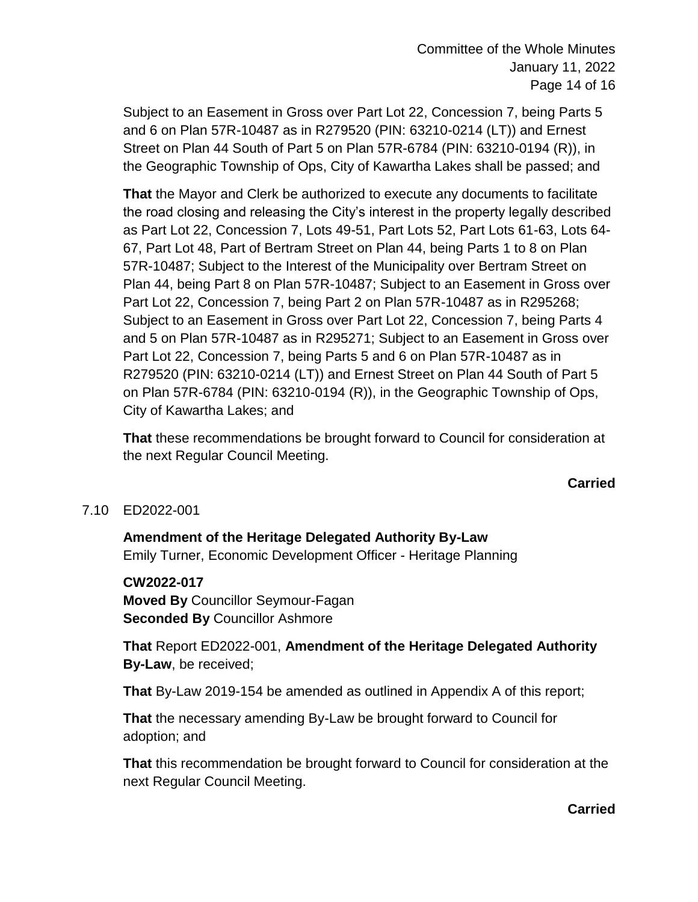Subject to an Easement in Gross over Part Lot 22, Concession 7, being Parts 5 and 6 on Plan 57R-10487 as in R279520 (PIN: 63210-0214 (LT)) and Ernest Street on Plan 44 South of Part 5 on Plan 57R-6784 (PIN: 63210-0194 (R)), in the Geographic Township of Ops, City of Kawartha Lakes shall be passed; and

**That** the Mayor and Clerk be authorized to execute any documents to facilitate the road closing and releasing the City's interest in the property legally described as Part Lot 22, Concession 7, Lots 49-51, Part Lots 52, Part Lots 61-63, Lots 64- 67, Part Lot 48, Part of Bertram Street on Plan 44, being Parts 1 to 8 on Plan 57R-10487; Subject to the Interest of the Municipality over Bertram Street on Plan 44, being Part 8 on Plan 57R-10487; Subject to an Easement in Gross over Part Lot 22, Concession 7, being Part 2 on Plan 57R-10487 as in R295268; Subject to an Easement in Gross over Part Lot 22, Concession 7, being Parts 4 and 5 on Plan 57R-10487 as in R295271; Subject to an Easement in Gross over Part Lot 22, Concession 7, being Parts 5 and 6 on Plan 57R-10487 as in R279520 (PIN: 63210-0214 (LT)) and Ernest Street on Plan 44 South of Part 5 on Plan 57R-6784 (PIN: 63210-0194 (R)), in the Geographic Township of Ops, City of Kawartha Lakes; and

**That** these recommendations be brought forward to Council for consideration at the next Regular Council Meeting.

#### **Carried**

# 7.10 ED2022-001

**Amendment of the Heritage Delegated Authority By-Law** Emily Turner, Economic Development Officer - Heritage Planning

#### **CW2022-017**

**Moved By** Councillor Seymour-Fagan **Seconded By** Councillor Ashmore

**That** Report ED2022-001, **Amendment of the Heritage Delegated Authority By-Law**, be received;

**That** By-Law 2019-154 be amended as outlined in Appendix A of this report;

**That** the necessary amending By-Law be brought forward to Council for adoption; and

**That** this recommendation be brought forward to Council for consideration at the next Regular Council Meeting.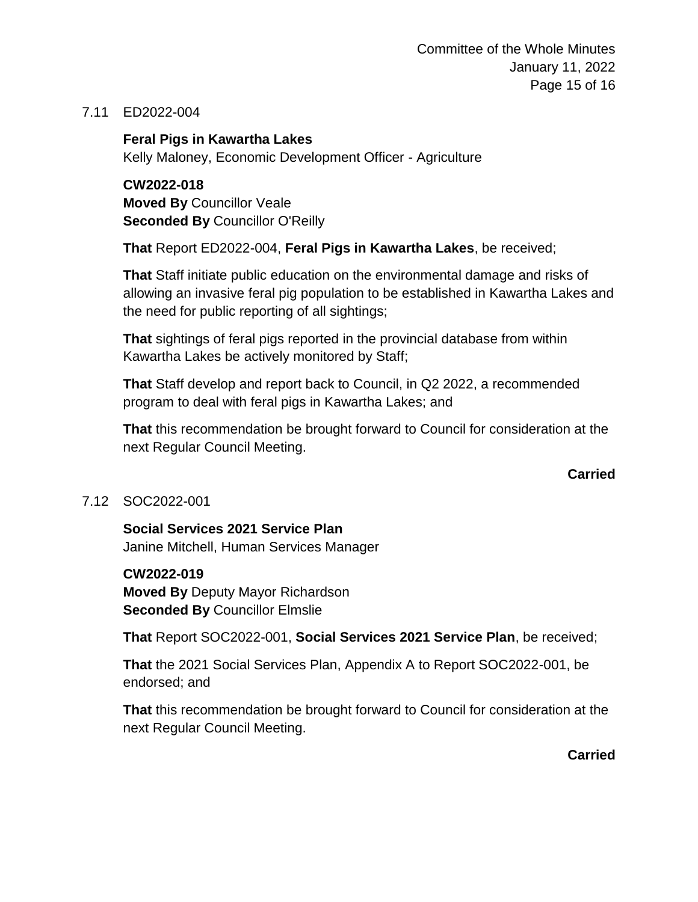Committee of the Whole Minutes January 11, 2022 Page 15 of 16

#### 7.11 ED2022-004

**Feral Pigs in Kawartha Lakes** Kelly Maloney, Economic Development Officer - Agriculture

**CW2022-018 Moved By** Councillor Veale **Seconded By** Councillor O'Reilly

**That** Report ED2022-004, **Feral Pigs in Kawartha Lakes**, be received;

**That** Staff initiate public education on the environmental damage and risks of allowing an invasive feral pig population to be established in Kawartha Lakes and the need for public reporting of all sightings;

**That** sightings of feral pigs reported in the provincial database from within Kawartha Lakes be actively monitored by Staff;

**That** Staff develop and report back to Council, in Q2 2022, a recommended program to deal with feral pigs in Kawartha Lakes; and

**That** this recommendation be brought forward to Council for consideration at the next Regular Council Meeting.

**Carried**

#### 7.12 SOC2022-001

**Social Services 2021 Service Plan** Janine Mitchell, Human Services Manager

**CW2022-019**

**Moved By** Deputy Mayor Richardson **Seconded By** Councillor Elmslie

**That** Report SOC2022-001, **Social Services 2021 Service Plan**, be received;

**That** the 2021 Social Services Plan, Appendix A to Report SOC2022-001, be endorsed; and

**That** this recommendation be brought forward to Council for consideration at the next Regular Council Meeting.